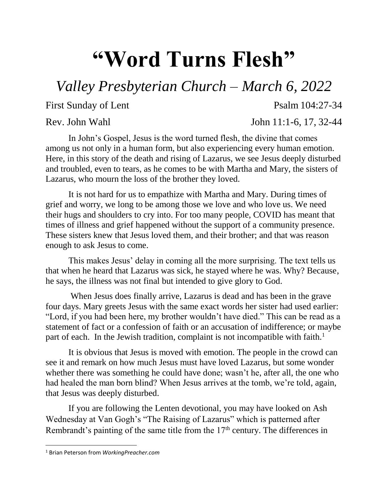## **"Word Turns Flesh"**

## *Valley Presbyterian Church – March 6, 2022*

First Sunday of Lent Psalm 104:27-34

Rev. John Wahl John 11:1-6, 17, 32-44

In John's Gospel, Jesus is the word turned flesh, the divine that comes among us not only in a human form, but also experiencing every human emotion. Here, in this story of the death and rising of Lazarus, we see Jesus deeply disturbed and troubled, even to tears, as he comes to be with Martha and Mary, the sisters of Lazarus, who mourn the loss of the brother they loved.

It is not hard for us to empathize with Martha and Mary. During times of grief and worry, we long to be among those we love and who love us. We need their hugs and shoulders to cry into. For too many people, COVID has meant that times of illness and grief happened without the support of a community presence. These sisters knew that Jesus loved them, and their brother; and that was reason enough to ask Jesus to come.

This makes Jesus' delay in coming all the more surprising. The text tells us that when he heard that Lazarus was sick, he stayed where he was. Why? Because, he says, the illness was not final but intended to give glory to God.

When Jesus does finally arrive, Lazarus is dead and has been in the grave four days. Mary greets Jesus with the same exact words her sister had used earlier: "Lord, if you had been here, my brother wouldn't have died." This can be read as a statement of fact or a confession of faith or an accusation of indifference; or maybe part of each. In the Jewish tradition, complaint is not incompatible with faith.<sup>1</sup>

It is obvious that Jesus is moved with emotion. The people in the crowd can see it and remark on how much Jesus must have loved Lazarus, but some wonder whether there was something he could have done; wasn't he, after all, the one who had healed the man born blind? When Jesus arrives at the tomb, we're told, again, that Jesus was deeply disturbed.

If you are following the Lenten devotional, you may have looked on Ash Wednesday at Van Gogh's "The Raising of Lazarus" which is patterned after Rembrandt's painting of the same title from the  $17<sup>th</sup>$  century. The differences in

 $\overline{\phantom{a}}$ 

<sup>1</sup> Brian Peterson from *WorkingPreacher.com*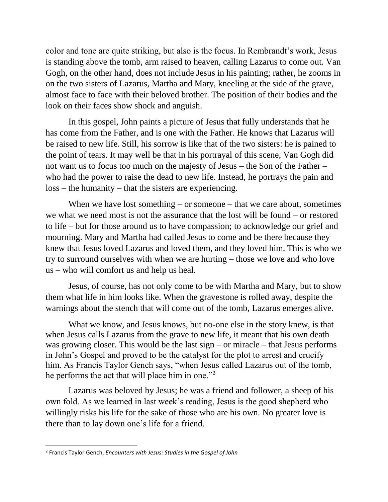color and tone are quite striking, but also is the focus. In Rembrandt's work, Jesus is standing above the tomb, arm raised to heaven, calling Lazarus to come out. Van Gogh, on the other hand, does not include Jesus in his painting; rather, he zooms in on the two sisters of Lazarus, Martha and Mary, kneeling at the side of the grave, almost face to face with their beloved brother. The position of their bodies and the look on their faces show shock and anguish.

In this gospel, John paints a picture of Jesus that fully understands that he has come from the Father, and is one with the Father. He knows that Lazarus will be raised to new life. Still, his sorrow is like that of the two sisters: he is pained to the point of tears. It may well be that in his portrayal of this scene, Van Gogh did not want us to focus too much on the majesty of Jesus – the Son of the Father – who had the power to raise the dead to new life. Instead, he portrays the pain and loss – the humanity – that the sisters are experiencing.

When we have lost something – or someone – that we care about, sometimes we what we need most is not the assurance that the lost will be found – or restored to life – but for those around us to have compassion; to acknowledge our grief and mourning. Mary and Martha had called Jesus to come and be there because they knew that Jesus loved Lazarus and loved them, and they loved him. This is who we try to surround ourselves with when we are hurting – those we love and who love us – who will comfort us and help us heal.

Jesus, of course, has not only come to be with Martha and Mary, but to show them what life in him looks like. When the gravestone is rolled away, despite the warnings about the stench that will come out of the tomb, Lazarus emerges alive.

What we know, and Jesus knows, but no-one else in the story knew, is that when Jesus calls Lazarus from the grave to new life, it meant that his own death was growing closer. This would be the last  $sign - or$  miracle – that Jesus performs in John's Gospel and proved to be the catalyst for the plot to arrest and crucify him. As Francis Taylor Gench says, "when Jesus called Lazarus out of the tomb, he performs the act that will place him in one."<sup>2</sup>

Lazarus was beloved by Jesus; he was a friend and follower, a sheep of his own fold. As we learned in last week's reading, Jesus is the good shepherd who willingly risks his life for the sake of those who are his own. No greater love is there than to lay down one's life for a friend.

 $\overline{\phantom{a}}$ 

<sup>2</sup> Francis Taylor Gench, *Encounters with Jesus: Studies in the Gospel of John*